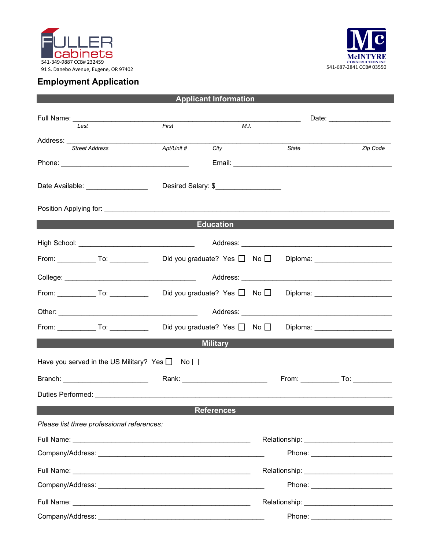



## **Employment Application**

| <b>Applicant Information</b>                                                                        |                                                                                                                         |              |                                        |  |  |  |
|-----------------------------------------------------------------------------------------------------|-------------------------------------------------------------------------------------------------------------------------|--------------|----------------------------------------|--|--|--|
| Full Name: _________________________                                                                | <u> The Communication of the Communication of the Communication of the Communication of the Communication of the Co</u> |              | Date: ___________________              |  |  |  |
| Last                                                                                                | First                                                                                                                   | M.I.         |                                        |  |  |  |
| Address: ___________<br><b>Street Address</b>                                                       | Apt/Unit #<br>City                                                                                                      | <b>State</b> | Zip Code                               |  |  |  |
|                                                                                                     |                                                                                                                         |              |                                        |  |  |  |
| Date Available: New York Date Available:                                                            | Desired Salary: \$____________________                                                                                  |              |                                        |  |  |  |
|                                                                                                     |                                                                                                                         |              |                                        |  |  |  |
| <b>Experimental Education Construction Construction</b>                                             |                                                                                                                         |              |                                        |  |  |  |
|                                                                                                     |                                                                                                                         |              |                                        |  |  |  |
| From: _____________ To: ______________  Did you graduate? Yes □ No □                                |                                                                                                                         |              | Diploma: _______________________       |  |  |  |
|                                                                                                     |                                                                                                                         |              |                                        |  |  |  |
| From: _____________ To: ______________  Did you graduate? Yes □ No □ Diploma: _____________________ |                                                                                                                         |              |                                        |  |  |  |
|                                                                                                     |                                                                                                                         |              |                                        |  |  |  |
| From: _____________To: ________________Did you graduate? Yes □ No □ Diploma: ______________________ |                                                                                                                         |              |                                        |  |  |  |
| <b>Military</b>                                                                                     |                                                                                                                         |              |                                        |  |  |  |
| Have you served in the US Military? Yes □ No □                                                      |                                                                                                                         |              |                                        |  |  |  |
| Branch: _________________________  Rank: _________________________                                  |                                                                                                                         |              | From: _______________ To: ____________ |  |  |  |
|                                                                                                     |                                                                                                                         |              |                                        |  |  |  |
| <b>References</b>                                                                                   |                                                                                                                         |              |                                        |  |  |  |
| Please list three professional references:                                                          |                                                                                                                         |              |                                        |  |  |  |
|                                                                                                     |                                                                                                                         |              |                                        |  |  |  |
|                                                                                                     |                                                                                                                         |              | Phone: _________________________       |  |  |  |
|                                                                                                     |                                                                                                                         |              |                                        |  |  |  |
|                                                                                                     |                                                                                                                         |              |                                        |  |  |  |
|                                                                                                     |                                                                                                                         |              |                                        |  |  |  |
|                                                                                                     |                                                                                                                         |              | Phone: __________________________      |  |  |  |